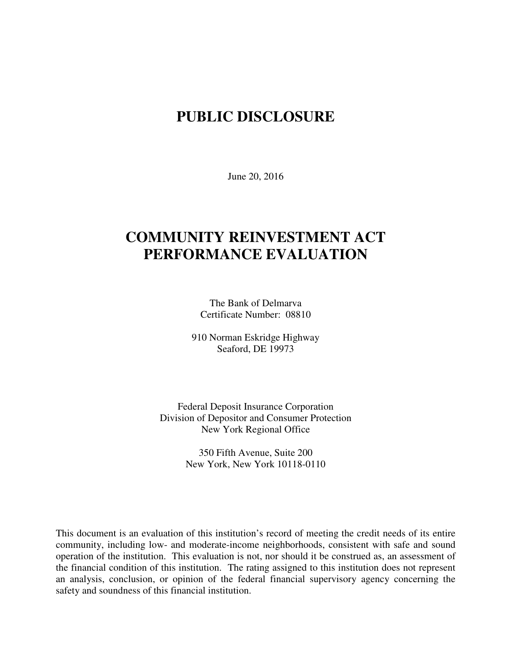# **PUBLIC DISCLOSURE**

June 20, 2016

# **COMMUNITY REINVESTMENT ACT PERFORMANCE EVALUATION**

The Bank of Delmarva Certificate Number: 08810

910 Norman Eskridge Highway Seaford, DE 19973

Federal Deposit Insurance Corporation Division of Depositor and Consumer Protection New York Regional Office

> 350 Fifth Avenue, Suite 200 New York, New York 10118-0110

This document is an evaluation of this institution's record of meeting the credit needs of its entire community, including low- and moderate-income neighborhoods, consistent with safe and sound operation of the institution.This evaluation is not, nor should it be construed as, an assessment of the financial condition of this institution. The rating assigned to this institution does not represent an analysis, conclusion, or opinion of the federal financial supervisory agency concerning the safety and soundness of this financial institution.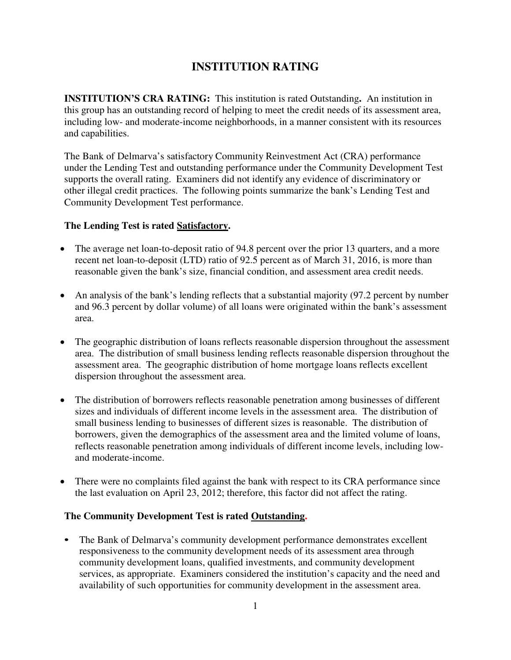## **INSTITUTION RATING**

**INSTITUTION'S CRA RATING:** This institution is rated Outstanding**.** An institution in this group has an outstanding record of helping to meet the credit needs of its assessment area, including low- and moderate-income neighborhoods, in a manner consistent with its resources and capabilities.

The Bank of Delmarva's satisfactory Community Reinvestment Act (CRA) performance under the Lending Test and outstanding performance under the Community Development Test supports the overall rating. Examiners did not identify any evidence of discriminatory or other illegal credit practices. The following points summarize the bank's Lending Test and Community Development Test performance.

### **The Lending Test is rated Satisfactory.**

- The average net loan-to-deposit ratio of 94.8 percent over the prior 13 quarters, and a more recent net loan-to-deposit (LTD) ratio of 92.5 percent as of March 31, 2016, is more than reasonable given the bank's size, financial condition, and assessment area credit needs.
- An analysis of the bank's lending reflects that a substantial majority (97.2 percent by number and 96.3 percent by dollar volume) of all loans were originated within the bank's assessment area.
- The geographic distribution of loans reflects reasonable dispersion throughout the assessment area. The distribution of small business lending reflects reasonable dispersion throughout the assessment area. The geographic distribution of home mortgage loans reflects excellent dispersion throughout the assessment area.
- The distribution of borrowers reflects reasonable penetration among businesses of different sizes and individuals of different income levels in the assessment area. The distribution of small business lending to businesses of different sizes is reasonable. The distribution of borrowers, given the demographics of the assessment area and the limited volume of loans, reflects reasonable penetration among individuals of different income levels, including lowand moderate-income.
- There were no complaints filed against the bank with respect to its CRA performance since the last evaluation on April 23, 2012; therefore, this factor did not affect the rating.

### **The Community Development Test is rated Outstanding.**

• The Bank of Delmarva's community development performance demonstrates excellent responsiveness to the community development needs of its assessment area through community development loans, qualified investments, and community development services, as appropriate. Examiners considered the institution's capacity and the need and availability of such opportunities for community development in the assessment area.